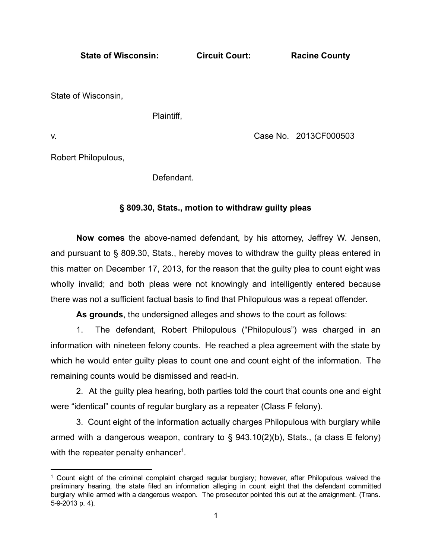| <b>State of Wisconsin:</b> | <b>Racine County</b>  |
|----------------------------|-----------------------|
|                            |                       |
| Plaintiff,                 |                       |
|                            | Case No. 2013CF000503 |
|                            |                       |
| Defendant.                 |                       |
|                            | <b>Circuit Court:</b> |

# § 809.30, Stats., motion to withdraw guilty pleas

Now comes the above-named defendant, by his attorney, Jeffrey W. Jensen, and pursuant to § 809.30, Stats., hereby moves to withdraw the guilty pleas entered in this matter on December 17, 2013, for the reason that the guilty plea to count eight was wholly invalid; and both pleas were not knowingly and intelligently entered because there was not a sufficient factual basis to find that Philopulous was a repeat offender.

As grounds, the undersigned alleges and shows to the court as follows:

1. The defendant, Robert Philopulous ("Philopulous") was charged in an information with nineteen felony counts. He reached a plea agreement with the state by which he would enter guilty pleas to count one and count eight of the information. The remaining counts would be dismissed and read-in.

2. At the guilty plea hearing, both parties told the court that counts one and eight were "identical" counts of regular burglary as a repeater (Class F felony).

3. Count eight of the information actually charges Philopulous with burglary while armed with a dangerous weapon, contrary to § 943.10(2)(b), Stats., (a class E felony) with the repeater penalty enhancer<sup>1</sup>.

 $1$  Count eight of the criminal complaint charged regular burglary; however, after Philopulous waived the preliminary hearing, the state filed an information alleging in count eight that the defendant committed burglary while armed with a dangerous weapon. The prosecutor pointed this out at the arraignment. (Trans. 5-9-2013 p. 4).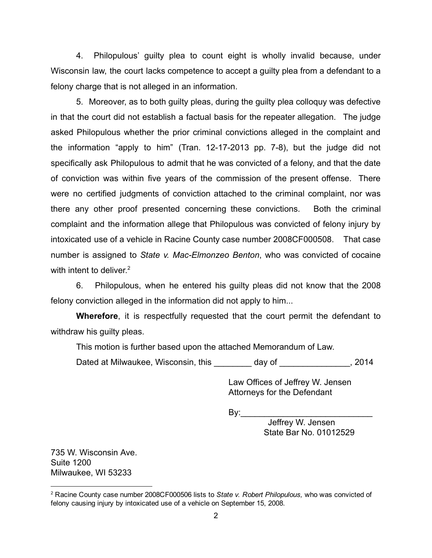4. Philopulous' guilty plea to count eight is wholly invalid because, under Wisconsin law, the court lacks competence to accept a guilty plea from a defendant to a felony charge that is not alleged in an information.

5. Moreover, as to both guilty pleas, during the guilty plea colloquy was defective in that the court did not establish a factual basis for the repeater allegation. The judge asked Philopulous whether the prior criminal convictions alleged in the complaint and the information "apply to him" (Tran.  $12-17-2013$  pp.  $7-8$ ), but the judge did not specifically ask Philopulous to admit that he was convicted of a felony, and that the date of conviction was within five years of the commission of the present offense. There were no certified judgments of conviction attached to the criminal complaint, nor was there any other proof presented concerning these convictions. Both the criminal complaint and the information allege that Philopulous was convicted of felony injury by intoxicated use of a vehicle in Racine County case number 2008CF000508. That case number is assigned to State v. Mac-Elmonzeo Benton, who was convicted of cocaine with intent to deliver.<sup>2</sup>

6. Philopulous, when he entered his guilty pleas did not know that the 2008 felony conviction alleged in the information did not apply to him...

Wherefore, it is respectfully requested that the court permit the defendant to withdraw his guilty pleas.

This motion is further based upon the attached Memorandum of Law.

Dated at Milwaukee, Wisconsin, this \_\_\_\_\_\_\_\_ day of \_\_\_\_\_\_\_\_\_\_\_\_\_\_, 2014

Law Offices of Jeffrey W. Jensen Attorneys for the Defendant

By:\_\_\_\_\_\_\_\_\_\_\_\_\_\_\_\_\_\_\_\_\_\_\_\_\_\_\_\_

Jeffrey W. Jensen State Bar No. 01012529

735 W. Wisconsin Ave. Suite 1200 Milwaukee, WI 53233

<sup>&</sup>lt;sup>2</sup> Racine County case number 2008CF000506 lists to State v. Robert Philopulous, who was convicted of felony causing injury by intoxicated use of a vehicle on September 15, 2008.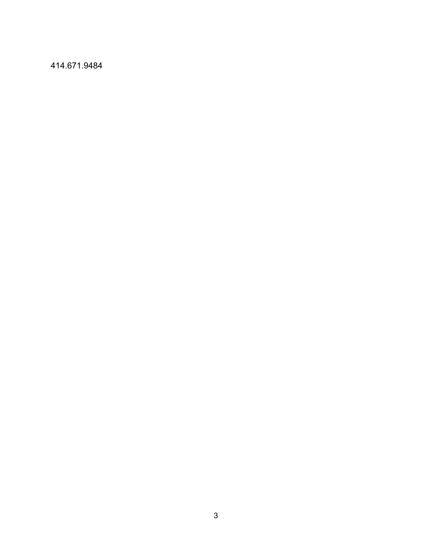414.671.9484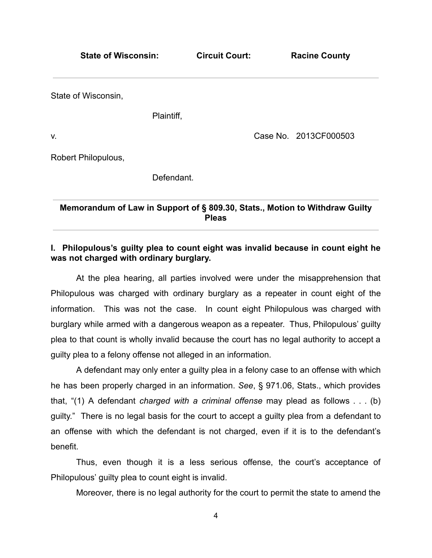State of Wisconsin: Circuit Court: Racine County State of Wisconsin, Plaintiff, v. Case No. 2013CF000503 Robert Philopulous, Defendant.

Memorandum of Law in Support of § 809.30, Stats., Motion to Withdraw Guilty **Pleas** 

# I. Philopulous's guilty plea to count eight was invalid because in count eight he was not charged with ordinary burglary.

At the plea hearing, all parties involved were under the misapprehension that Philopulous was charged with ordinary burglary as a repeater in count eight of the information. This was not the case. In count eight Philopulous was charged with burglary while armed with a dangerous weapon as a repeater. Thus, Philopulous' guilty plea to that count is wholly invalid because the court has no legal authority to accept a guilty plea to a felony offense not alleged in an information.

A defendant may only enter a guilty plea in a felony case to an offense with which he has been properly charged in an information. See, § 971.06, Stats., which provides that, "(1) A defendant charged with a criminal offense may plead as follows . . . (b) guilty." There is no legal basis for the court to accept a guilty plea from a defendant to an offense with which the defendant is not charged, even if it is to the defendant's benefit.

Thus, even though it is a less serious offense, the court's acceptance of Philopulous' guilty plea to count eight is invalid.

Moreover, there is no legal authority for the court to permit the state to amend the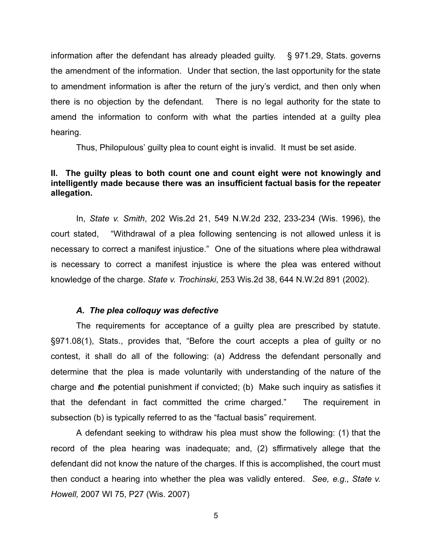information after the defendant has already pleaded guilty. § 971.29, Stats. governs the amendment of the information. Under that section, the last opportunity for the state to amendment information is after the return of the jury's verdict, and then only when there is no objection by the defendant. There is no legal authority for the state to amend the information to conform with what the parties intended at a guilty plea hearing.

Thus, Philopulous' guilty plea to count eight is invalid. It must be set aside.

## II. The guilty pleas to both count one and count eight were not knowingly and intelligently made because there was an insufficient factual basis for the repeater allegation.

In, State v. Smith, 202 Wis.2d 21, 549 N.W.2d 232, 233-234 (Wis. 1996), the court stated, "Withdrawal of a plea following sentencing is not allowed unless it is necessary to correct a manifest injustice." One of the situations where plea withdrawal is necessary to correct a manifest injustice is where the plea was entered without knowledge of the charge. State v. Trochinski, 253 Wis.2d 38, 644 N.W.2d 891 (2002).

### A. The plea colloquy was defective

The requirements for acceptance of a guilty plea are prescribed by statute. §971.08(1), Stats., provides that, "Before the court accepts a plea of guilty or no contest, it shall do all of the following: (a) Address the defendant personally and determine that the plea is made voluntarily with understanding of the nature of the charge and the potential punishment if convicted; (b) Make such inquiry as satisfies it that the defendant in fact committed the crime charged." The requirement in subsection (b) is typically referred to as the "factual basis" requirement.

A defendant seeking to withdraw his plea must show the following: (1) that the record of the plea hearing was inadequate; and, (2) sffirmatively allege that the defendant did not know the nature of the charges. If this is accomplished, the court must then conduct a hearing into whether the plea was validly entered. See, e.g., State v. Howell, 2007 WI 75, P27 (Wis. 2007)

5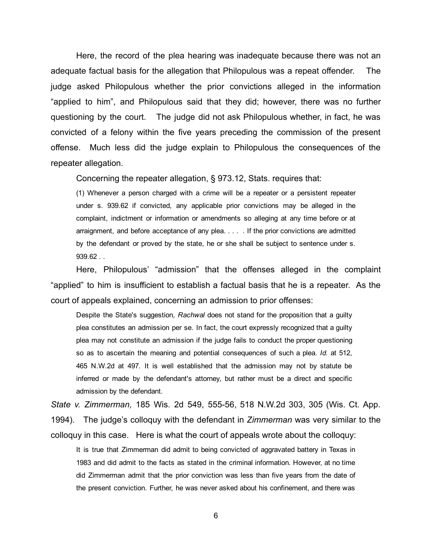Here, the record of the plea hearing was inadequate because there was not an adequate factual basis for the allegation that Philopulous was a repeat offender. The judge asked Philopulous whether the prior convictions alleged in the information "applied to him", and Philopulous said that they did; however, there was no further questioning by the court. The judge did not ask Philopulous whether, in fact, he was convicted of a felony within the five years preceding the commission of the present offense. Much less did the judge explain to Philopulous the consequences of the repeater allegation.

Concerning the repeater allegation, § 973.12, Stats. requires that:

(1) Whenever a person charged with a crime will be a repeater or a persistent repeater under s. 939.62 if convicted, any applicable prior convictions may be alleged in the complaint, indictment or information or amendments so alleging at any time before or at arraignment, and before acceptance of any plea. . . . . If the prior convictions are admitted by the defendant or proved by the state, he or she shall be subject to sentence under s. 939.62 . .

Here, Philopulous' "admission" that the offenses alleged in the complaint "applied" to him is insufficient to establish a factual basis that he is a repeater. As the court of appeals explained, concerning an admission to prior offenses:

Despite the State's suggestion, Rachwal does not stand for the proposition that a guilty plea constitutes an admission per se. In fact, the court expressly recognized that a guilty plea may not constitute an admission if the judge fails to conduct the proper questioning so as to ascertain the meaning and potential consequences of such a plea. Id. at 512, 465 N.W.2d at 497. It is well established that the admission may not by statute be inferred or made by the defendant's attorney, but rather must be a direct and specific admission by the defendant.

State v. Zimmerman, 185 Wis. 2d 549, 55556, 518 N.W.2d 303, 305 (Wis. Ct. App. 1994). The judge's colloquy with the defendant in *Zimmerman* was very similar to the colloquy in this case. Here is what the court of appeals wrote about the colloquy:

It is true that Zimmerman did admit to being convicted of aggravated battery in Texas in 1983 and did admit to the facts as stated in the criminal information. However, at no time did Zimmerman admit that the prior conviction was less than five years from the date of the present conviction. Further, he was never asked about his confinement, and there was